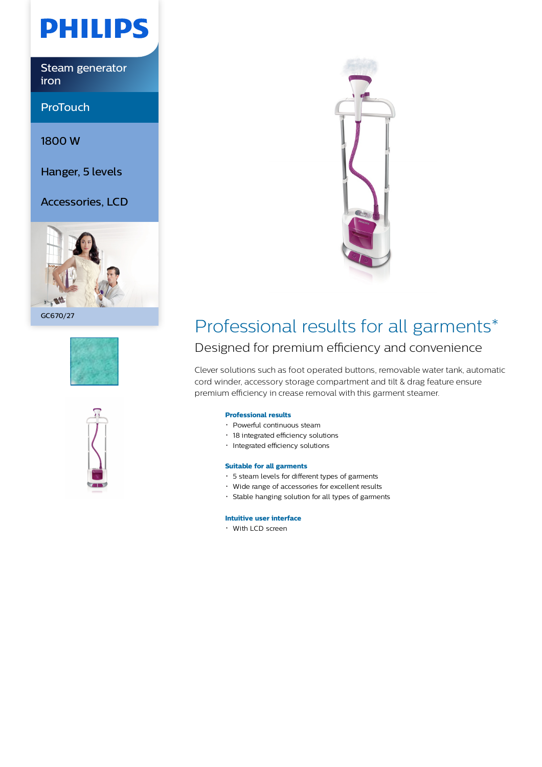

Steam generator iron

ProTouch

1800 W

Hanger, 5 levels

Accessories, LCD



GC670/27







## Professional results for all garments\*

### Designed for premium efficiency and convenience

Clever solutions such as foot operated buttons, removable water tank, automatic cord winder, accessory storage compartment and tilt & drag feature ensure premium efficiency in crease removal with this garment steamer.

### **Professional results**

- Powerful continuous steam
- 18 integrated efficiency solutions
- Integrated efficiency solutions

#### **Suitable for all garments**

- 5 steam levels for different types of garments
- Wide range of accessories for excellent results
- Stable hanging solution for all types of garments

#### **Intuitive user interface**

With LCD screen